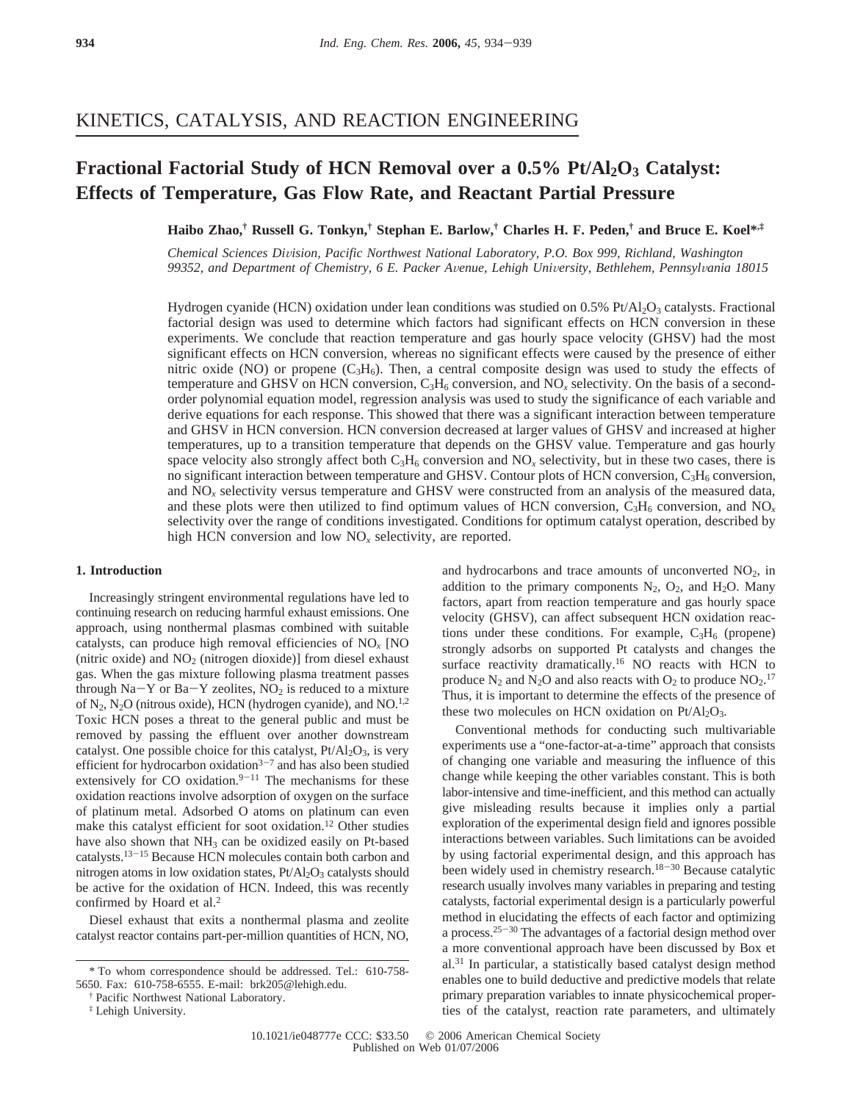## KINETICS, CATALYSIS, AND REACTION ENGINEERING

# **Fractional Factorial Study of HCN Removal over a 0.5% Pt/Al<sub>2</sub>O<sub>3</sub> Catalyst: Effects of Temperature, Gas Flow Rate, and Reactant Partial Pressure**

**Haibo Zhao,† Russell G. Tonkyn,† Stephan E. Barlow,† Charles H. F. Peden,† and Bruce E. Koel\*,‡**

*Chemical Sciences Di*V*ision, Pacific Northwest National Laboratory, P.O. Box 999, Richland, Washington 99352, and Department of Chemistry, 6 E. Packer A*V*enue, Lehigh Uni*V*ersity, Bethlehem, Pennsyl*V*ania 18015*

Hydrogen cyanide (HCN) oxidation under lean conditions was studied on 0.5% Pt/Al<sub>2</sub>O<sub>3</sub> catalysts. Fractional factorial design was used to determine which factors had significant effects on HCN conversion in these experiments. We conclude that reaction temperature and gas hourly space velocity (GHSV) had the most significant effects on HCN conversion, whereas no significant effects were caused by the presence of either nitric oxide (NO) or propene  $(C_3H_6)$ . Then, a central composite design was used to study the effects of temperature and GHSV on HCN conversion,  $C_3H_6$  conversion, and NO<sub>x</sub> selectivity. On the basis of a secondorder polynomial equation model, regression analysis was used to study the significance of each variable and derive equations for each response. This showed that there was a significant interaction between temperature and GHSV in HCN conversion. HCN conversion decreased at larger values of GHSV and increased at higher temperatures, up to a transition temperature that depends on the GHSV value. Temperature and gas hourly space velocity also strongly affect both  $C_3H_6$  conversion and  $NO<sub>x</sub>$  selectivity, but in these two cases, there is no significant interaction between temperature and GHSV. Contour plots of HCN conversion,  $C_3H_6$  conversion, and NO*<sup>x</sup>* selectivity versus temperature and GHSV were constructed from an analysis of the measured data, and these plots were then utilized to find optimum values of HCN conversion,  $C_3H_6$  conversion, and NO<sub>x</sub> selectivity over the range of conditions investigated. Conditions for optimum catalyst operation, described by high HCN conversion and low NO<sub>x</sub> selectivity, are reported.

### **1. Introduction**

Increasingly stringent environmental regulations have led to continuing research on reducing harmful exhaust emissions. One approach, using nonthermal plasmas combined with suitable catalysts, can produce high removal efficiencies of NO*<sup>x</sup>* [NO (nitric oxide) and  $NO<sub>2</sub>$  (nitrogen dioxide)] from diesel exhaust gas. When the gas mixture following plasma treatment passes through  $Na-Y$  or  $Ba-Y$  zeolites,  $NO<sub>2</sub>$  is reduced to a mixture of  $N_2$ ,  $N_2O$  (nitrous oxide), HCN (hydrogen cyanide), and NO.<sup>1,2</sup> Toxic HCN poses a threat to the general public and must be removed by passing the effluent over another downstream catalyst. One possible choice for this catalyst,  $Pt/Al<sub>2</sub>O<sub>3</sub>$ , is very efficient for hydrocarbon oxidation $3-7$  and has also been studied extensively for CO oxidation. $9-11$  The mechanisms for these oxidation reactions involve adsorption of oxygen on the surface of platinum metal. Adsorbed O atoms on platinum can even make this catalyst efficient for soot oxidation.12 Other studies have also shown that NH<sub>3</sub> can be oxidized easily on Pt-based catalysts.13-<sup>15</sup> Because HCN molecules contain both carbon and nitrogen atoms in low oxidation states, Pt/Al<sub>2</sub>O<sub>3</sub> catalysts should be active for the oxidation of HCN. Indeed, this was recently confirmed by Hoard et al.<sup>2</sup>

Diesel exhaust that exits a nonthermal plasma and zeolite catalyst reactor contains part-per-million quantities of HCN, NO,

and hydrocarbons and trace amounts of unconverted  $NO<sub>2</sub>$ , in addition to the primary components  $N_2$ ,  $O_2$ , and  $H_2O$ . Many factors, apart from reaction temperature and gas hourly space velocity (GHSV), can affect subsequent HCN oxidation reactions under these conditions. For example,  $C_3H_6$  (propene) strongly adsorbs on supported Pt catalysts and changes the surface reactivity dramatically.<sup>16</sup> NO reacts with HCN to produce  $N_2$  and  $N_2O$  and also reacts with  $O_2$  to produce  $NO_2$ .<sup>17</sup> Thus, it is important to determine the effects of the presence of these two molecules on HCN oxidation on  $Pt/Al_2O_3$ .

Conventional methods for conducting such multivariable experiments use a "one-factor-at-a-time" approach that consists of changing one variable and measuring the influence of this change while keeping the other variables constant. This is both labor-intensive and time-inefficient, and this method can actually give misleading results because it implies only a partial exploration of the experimental design field and ignores possible interactions between variables. Such limitations can be avoided by using factorial experimental design, and this approach has been widely used in chemistry research.<sup>18-30</sup> Because catalytic research usually involves many variables in preparing and testing catalysts, factorial experimental design is a particularly powerful method in elucidating the effects of each factor and optimizing a process.25-<sup>30</sup> The advantages of a factorial design method over a more conventional approach have been discussed by Box et al.31 In particular, a statistically based catalyst design method enables one to build deductive and predictive models that relate primary preparation variables to innate physicochemical properties of the catalyst, reaction rate parameters, and ultimately

<sup>\*</sup> To whom correspondence should be addressed. Tel.: 610-758- 5650. Fax: 610-758-6555. E-mail: brk205@lehigh.edu.

<sup>†</sup> Pacific Northwest National Laboratory.

<sup>‡</sup> Lehigh University.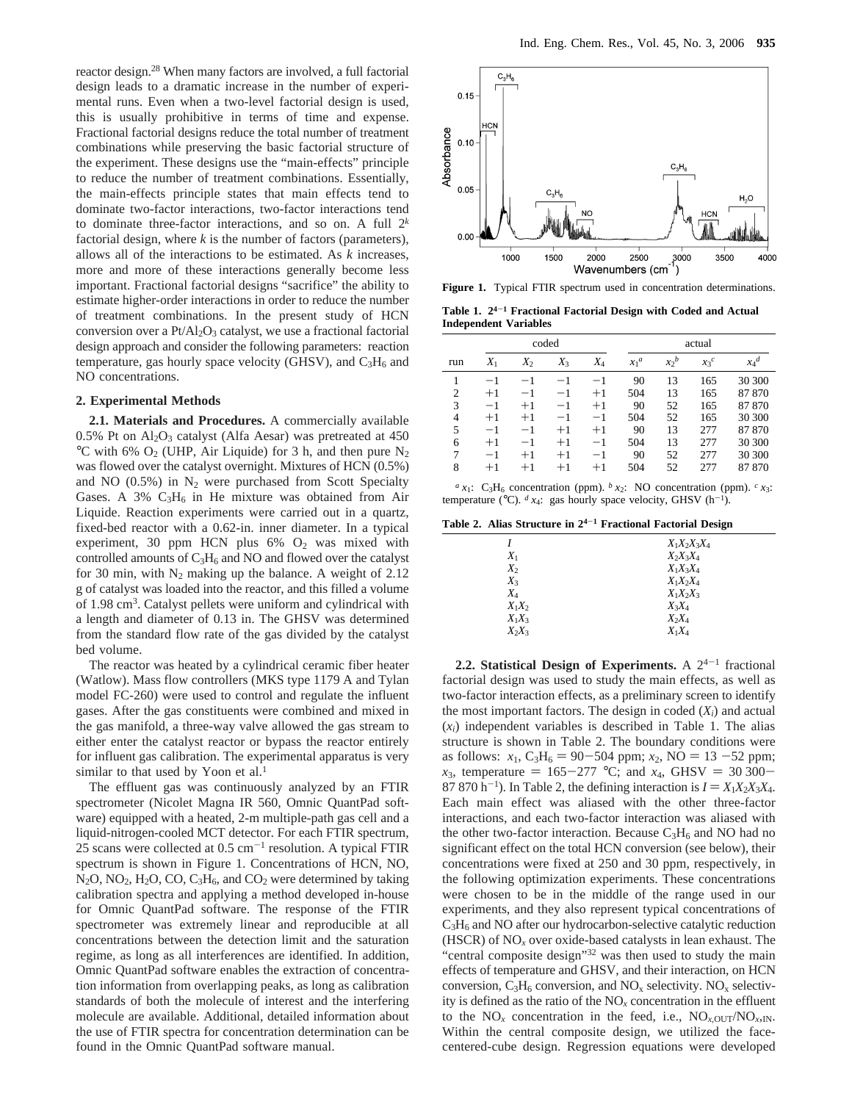reactor design.<sup>28</sup> When many factors are involved, a full factorial design leads to a dramatic increase in the number of experimental runs. Even when a two-level factorial design is used, this is usually prohibitive in terms of time and expense. Fractional factorial designs reduce the total number of treatment combinations while preserving the basic factorial structure of the experiment. These designs use the "main-effects" principle to reduce the number of treatment combinations. Essentially, the main-effects principle states that main effects tend to dominate two-factor interactions, two-factor interactions tend to dominate three-factor interactions, and so on. A full 2*<sup>k</sup>* factorial design, where *k* is the number of factors (parameters), allows all of the interactions to be estimated. As *k* increases, more and more of these interactions generally become less important. Fractional factorial designs "sacrifice" the ability to estimate higher-order interactions in order to reduce the number of treatment combinations. In the present study of HCN conversion over a  $Pt/Al_2O_3$  catalyst, we use a fractional factorial design approach and consider the following parameters: reaction temperature, gas hourly space velocity (GHSV), and  $C_3H_6$  and NO concentrations.

#### **2. Experimental Methods**

**2.1. Materials and Procedures.** A commercially available  $0.5\%$  Pt on Al<sub>2</sub>O<sub>3</sub> catalyst (Alfa Aesar) was pretreated at 450 °C with 6%  $O_2$  (UHP, Air Liquide) for 3 h, and then pure N<sub>2</sub> was flowed over the catalyst overnight. Mixtures of HCN (0.5%) and NO  $(0.5\%)$  in  $N_2$  were purchased from Scott Specialty Gases. A  $3\%$  C<sub>3</sub>H<sub>6</sub> in He mixture was obtained from Air Liquide. Reaction experiments were carried out in a quartz, fixed-bed reactor with a 0.62-in. inner diameter. In a typical experiment, 30 ppm HCN plus  $6\%$   $O_2$  was mixed with controlled amounts of C<sub>3</sub>H<sub>6</sub> and NO and flowed over the catalyst for 30 min, with  $N_2$  making up the balance. A weight of 2.12 g of catalyst was loaded into the reactor, and this filled a volume of 1.98 cm3. Catalyst pellets were uniform and cylindrical with a length and diameter of 0.13 in. The GHSV was determined from the standard flow rate of the gas divided by the catalyst bed volume.

The reactor was heated by a cylindrical ceramic fiber heater (Watlow). Mass flow controllers (MKS type 1179 A and Tylan model FC-260) were used to control and regulate the influent gases. After the gas constituents were combined and mixed in the gas manifold, a three-way valve allowed the gas stream to either enter the catalyst reactor or bypass the reactor entirely for influent gas calibration. The experimental apparatus is very similar to that used by Yoon et al.<sup>1</sup>

The effluent gas was continuously analyzed by an FTIR spectrometer (Nicolet Magna IR 560, Omnic QuantPad software) equipped with a heated, 2-m multiple-path gas cell and a liquid-nitrogen-cooled MCT detector. For each FTIR spectrum, 25 scans were collected at  $0.5 \text{ cm}^{-1}$  resolution. A typical FTIR spectrum is shown in Figure 1. Concentrations of HCN, NO, N<sub>2</sub>O, NO<sub>2</sub>, H<sub>2</sub>O, CO, C<sub>3</sub>H<sub>6</sub>, and CO<sub>2</sub> were determined by taking calibration spectra and applying a method developed in-house for Omnic QuantPad software. The response of the FTIR spectrometer was extremely linear and reproducible at all concentrations between the detection limit and the saturation regime, as long as all interferences are identified. In addition, Omnic QuantPad software enables the extraction of concentration information from overlapping peaks, as long as calibration standards of both the molecule of interest and the interfering molecule are available. Additional, detailed information about the use of FTIR spectra for concentration determination can be found in the Omnic QuantPad software manual.



**Figure 1.** Typical FTIR spectrum used in concentration determinations.

**Table 1. 24**-**<sup>1</sup> Fractional Factorial Design with Coded and Actual Independent Variables**

|                |       |       | coded |       | actual  |         |         |                    |
|----------------|-------|-------|-------|-------|---------|---------|---------|--------------------|
| run            | $X_1$ | $X_2$ | $X_3$ | $X_4$ | $x_1^a$ | $x_2^b$ | $x_3^c$ | $x_4$ <sup>d</sup> |
|                | $-1$  | $-1$  | $-1$  | $-1$  | 90      | 13      | 165     | 30 300             |
| $\overline{2}$ | $+1$  | $-1$  | $-1$  | $+1$  | 504     | 13      | 165     | 87 870             |
| 3              | $-1$  | $+1$  | $-1$  | $+1$  | 90      | 52      | 165     | 87 870             |
| $\overline{4}$ | $+1$  | $+1$  | $-1$  | $-1$  | 504     | 52      | 165     | 30 300             |
| 5              | $-1$  | $-1$  | $+1$  | $+1$  | 90      | 13      | 277     | 87 870             |
| 6              | $+1$  | $-1$  | $+1$  | $-1$  | 504     | 13      | 277     | 30 300             |
| 7              | $-1$  | $+1$  | $+1$  | $-1$  | 90      | 52      | 277     | 30 300             |
| 8              | $+1$  | $+1$  | $+1$  | $+1$  | 504     | 52      | 277     | 87 870             |
|                |       |       |       |       |         |         |         |                    |

 $a$  *x*<sub>1</sub>: C<sub>3</sub>H<sub>6</sub> concentration (ppm).  $b$  *x*<sub>2</sub>: NO concentration (ppm).  $c$  *x*<sub>3</sub>: temperature ( $^{\circ}$ C).  $^d$  *x*<sub>4</sub>: gas hourly space velocity, GHSV (h<sup>-1</sup>).

**Table 2. Alias Structure in 24**-**<sup>1</sup> Fractional Factorial Design**

|          | $X_1X_2X_3X_4$ |
|----------|----------------|
| $X_1$    | $X_2X_3X_4$    |
| $X_2$    | $X_1X_3X_4$    |
| $X_3$    | $X_1X_2X_4$    |
| $X_4$    | $X_1X_2X_3$    |
| $X_1X_2$ | $X_3X_4$       |
| $X_1X_3$ | $X_2X_4$       |
| $X_2X_3$ | $X_1X_4$       |
|          |                |

**2.2. Statistical Design of Experiments.** A  $2^{4-1}$  fractional factorial design was used to study the main effects, as well as two-factor interaction effects, as a preliminary screen to identify the most important factors. The design in coded  $(X_i)$  and actual  $(x<sub>i</sub>)$  independent variables is described in Table 1. The alias structure is shown in Table 2. The boundary conditions were as follows:  $x_1$ , C<sub>3</sub>H<sub>6</sub> = 90-504 ppm;  $x_2$ , NO = 13 -52 ppm; *x*<sub>3</sub>, temperature = 165-277 °C; and *x*<sub>4</sub>, GHSV = 30 300-87 870 h<sup>-1</sup>). In Table 2, the defining interaction is  $I = X_1X_2X_3X_4$ . Each main effect was aliased with the other three-factor interactions, and each two-factor interaction was aliased with the other two-factor interaction. Because  $C_3H_6$  and NO had no significant effect on the total HCN conversion (see below), their concentrations were fixed at 250 and 30 ppm, respectively, in the following optimization experiments. These concentrations were chosen to be in the middle of the range used in our experiments, and they also represent typical concentrations of C3H6 and NO after our hydrocarbon-selective catalytic reduction (HSCR) of NO*<sup>x</sup>* over oxide-based catalysts in lean exhaust. The "central composite design"<sup>32</sup> was then used to study the main effects of temperature and GHSV, and their interaction, on HCN conversion,  $C_3H_6$  conversion, and  $NO_x$  selectivity.  $NO_x$  selectivity is defined as the ratio of the NO*<sup>x</sup>* concentration in the effluent to the  $NO_x$  concentration in the feed, i.e.,  $NO_{x,OUT}/NO_{x,N}$ . Within the central composite design, we utilized the facecentered-cube design. Regression equations were developed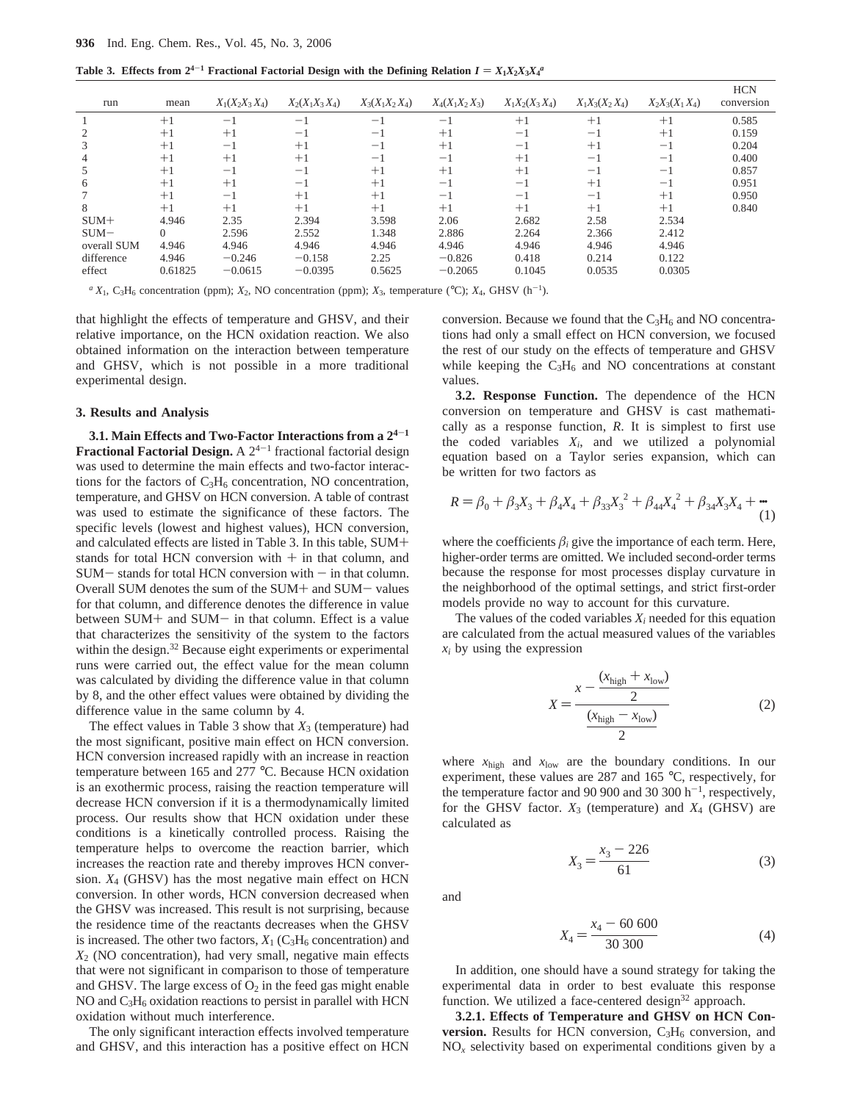**Table 3. Effects from 2<sup>4-1</sup> Fractional Factorial Design with the Defining Relation**  $I = X_1 X_2 X_3 X_4^a$ 

| run         | mean    | $X_1(X_2X_3X_4)$ | $X_2(X_1X_3X_4)$ | $X_3(X_1X_2X_4)$ | $X_4(X_1X_2X_3)$ | $X_1X_2(X_3X_4)$ | $X_1X_3(X_2X_4)$ | $X_2X_3(X_1X_4)$  | <b>HCN</b><br>conversion |
|-------------|---------|------------------|------------------|------------------|------------------|------------------|------------------|-------------------|--------------------------|
|             | $+1$    | $-1$             | — 1              | $-1$             | -1               | $+1$             | $+1$             | $+1$              | 0.585                    |
|             | $+1$    | $+1$             | $-1$             | $-1$             | $+1$             | $-1$             | $-1$             | $+1$              | 0.159                    |
| 3           | $+1$    | $-1$             | $+1$             | $-1$             | $+1$             | $-1$             | $+1$             | -1                | 0.204                    |
| 4           | $+1$    | $+1$             | $+1$             | $^{-1}$          | $-1$             | $+1$             | $-1$             | $-1$              | 0.400                    |
| C           | $+1$    | $-1$             | $-1$             | $+1$             | $+1$             | $+1$             | $-1$             | $-1$              | 0.857                    |
| 6           | $+1$    | $+1$             | $-$              | $+1$             | $-1$             | $-1$             | $+1$             | $\qquad \qquad -$ | 0.951                    |
|             | $+1$    | $^{-1}$          | $+1$             | $+1$             | -1               | $-1$             | $-1$             | $+1$              | 0.950                    |
| 8           | $+1$    | $+1$             | $+1$             | $+1$             | $+1$             | $+1$             | $+1$             | $+1$              | 0.840                    |
| $SUM+$      | 4.946   | 2.35             | 2.394            | 3.598            | 2.06             | 2.682            | 2.58             | 2.534             |                          |
| $SUM-$      | 0       | 2.596            | 2.552            | 1.348            | 2.886            | 2.264            | 2.366            | 2.412             |                          |
| overall SUM | 4.946   | 4.946            | 4.946            | 4.946            | 4.946            | 4.946            | 4.946            | 4.946             |                          |
| difference  | 4.946   | $-0.246$         | $-0.158$         | 2.25             | $-0.826$         | 0.418            | 0.214            | 0.122             |                          |
| effect      | 0.61825 | $-0.0615$        | $-0.0395$        | 0.5625           | $-0.2065$        | 0.1045           | 0.0535           | 0.0305            |                          |
|             |         |                  |                  |                  |                  |                  |                  |                   |                          |

 $a$  *X*<sub>1</sub>, C<sub>3</sub>H<sub>6</sub> concentration (ppm); *X*<sub>2</sub>, NO concentration (ppm); *X*<sub>3</sub>, temperature (°C); *X*<sub>4</sub>, GHSV (h<sup>-1</sup>).

that highlight the effects of temperature and GHSV, and their relative importance, on the HCN oxidation reaction. We also obtained information on the interaction between temperature and GHSV, which is not possible in a more traditional experimental design.

#### **3. Results and Analysis**

**3.1. Main Effects and Two-Factor Interactions from a 24**-**<sup>1</sup> Fractional Factorial Design.** A  $2^{4-1}$  fractional factorial design was used to determine the main effects and two-factor interactions for the factors of  $C_3H_6$  concentration, NO concentration, temperature, and GHSV on HCN conversion. A table of contrast was used to estimate the significance of these factors. The specific levels (lowest and highest values), HCN conversion, and calculated effects are listed in Table 3. In this table, SUM+ stands for total HCN conversion with  $+$  in that column, and  $SUM-$  stands for total HCN conversion with  $-$  in that column. Overall SUM denotes the sum of the SUM+ and SUM- values for that column, and difference denotes the difference in value between SUM+ and SUM- in that column. Effect is a value that characterizes the sensitivity of the system to the factors within the design.<sup>32</sup> Because eight experiments or experimental runs were carried out, the effect value for the mean column was calculated by dividing the difference value in that column by 8, and the other effect values were obtained by dividing the difference value in the same column by 4.

The effect values in Table 3 show that  $X_3$  (temperature) had the most significant, positive main effect on HCN conversion. HCN conversion increased rapidly with an increase in reaction temperature between 165 and 277 °C. Because HCN oxidation is an exothermic process, raising the reaction temperature will decrease HCN conversion if it is a thermodynamically limited process. Our results show that HCN oxidation under these conditions is a kinetically controlled process. Raising the temperature helps to overcome the reaction barrier, which increases the reaction rate and thereby improves HCN conversion. *X*<sup>4</sup> (GHSV) has the most negative main effect on HCN conversion. In other words, HCN conversion decreased when the GHSV was increased. This result is not surprising, because the residence time of the reactants decreases when the GHSV is increased. The other two factors,  $X_1$  ( $C_3H_6$  concentration) and *X*<sup>2</sup> (NO concentration), had very small, negative main effects that were not significant in comparison to those of temperature and GHSV. The large excess of  $O<sub>2</sub>$  in the feed gas might enable NO and  $C_3H_6$  oxidation reactions to persist in parallel with HCN oxidation without much interference.

The only significant interaction effects involved temperature and GHSV, and this interaction has a positive effect on HCN conversion. Because we found that the  $C_3H_6$  and NO concentrations had only a small effect on HCN conversion, we focused the rest of our study on the effects of temperature and GHSV while keeping the  $C_3H_6$  and NO concentrations at constant values.

**3.2. Response Function.** The dependence of the HCN conversion on temperature and GHSV is cast mathematically as a response function, *R*. It is simplest to first use the coded variables  $X_i$ , and we utilized a polynomial equation based on a Taylor series expansion, which can be written for two factors as

$$
R = \beta_0 + \beta_3 X_3 + \beta_4 X_4 + \beta_{33} X_3^2 + \beta_{44} X_4^2 + \beta_{34} X_3 X_4 + \cdots
$$
 (1)

where the coefficients  $\beta_i$  give the importance of each term. Here, higher-order terms are omitted. We included second-order terms because the response for most processes display curvature in the neighborhood of the optimal settings, and strict first-order models provide no way to account for this curvature.

The values of the coded variables  $X_i$  needed for this equation are calculated from the actual measured values of the variables  $x_i$  by using the expression

$$
X = \frac{x - \frac{(x_{\text{high}} + x_{\text{low}})}{2}}{\frac{(x_{\text{high}} - x_{\text{low}})}{2}}
$$
 (2)

where *x*high and *x*low are the boundary conditions. In our experiment, these values are 287 and 165 °C, respectively, for the temperature factor and 90 900 and 30 300  $h^{-1}$ , respectively, for the GHSV factor.  $X_3$  (temperature) and  $X_4$  (GHSV) are calculated as

$$
X_3 = \frac{x_3 - 226}{61} \tag{3}
$$

and

$$
X_4 = \frac{x_4 - 60\,600}{30\,300} \tag{4}
$$

In addition, one should have a sound strategy for taking the experimental data in order to best evaluate this response function. We utilized a face-centered design $32$  approach.

**3.2.1. Effects of Temperature and GHSV on HCN Conversion.** Results for HCN conversion,  $C_3H_6$  conversion, and  $NO<sub>x</sub>$  selectivity based on experimental conditions given by a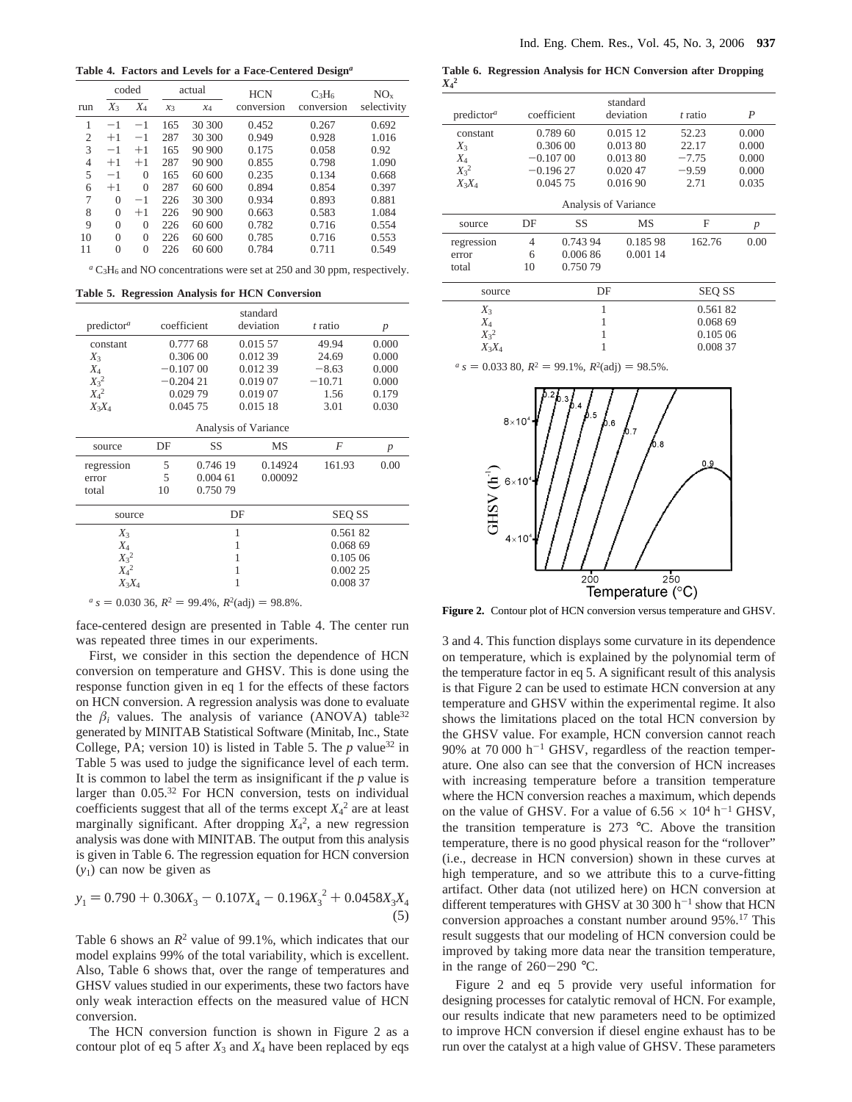**Table 4. Factors and Levels for a Face-Centered Design***<sup>a</sup>*

|                | coded    |          | actual |        | <b>HCN</b> | $C_3H_6$   | $NO_{x}$    |
|----------------|----------|----------|--------|--------|------------|------------|-------------|
| run            | $X_3$    | $X_4$    | $x_3$  | $x_4$  | conversion | conversion | selectivity |
| 1              | $-1$     | $-1$     | 165    | 30 300 | 0.452      | 0.267      | 0.692       |
| $\mathfrak{2}$ | $+1$     | $-1$     | 287    | 30 300 | 0.949      | 0.928      | 1.016       |
| 3              | $-1$     | $+1$     | 165    | 90 900 | 0.175      | 0.058      | 0.92        |
| $\overline{4}$ | $+1$     | $+1$     | 287    | 90 900 | 0.855      | 0.798      | 1.090       |
| 5              | $-1$     | $\Omega$ | 165    | 60 600 | 0.235      | 0.134      | 0.668       |
| 6              | $+1$     | $\Omega$ | 287    | 60 600 | 0.894      | 0.854      | 0.397       |
| 7              | $\Omega$ | $-1$     | 226    | 30 300 | 0.934      | 0.893      | 0.881       |
| 8              | $\Omega$ | $+1$     | 226    | 90 900 | 0.663      | 0.583      | 1.084       |
| 9              | $\Omega$ | $\Omega$ | 226    | 60 600 | 0.782      | 0.716      | 0.554       |
| 10             | $\Omega$ | $\theta$ | 226    | 60 600 | 0.785      | 0.716      | 0.553       |
| 11             | $\Omega$ | $\Omega$ | 226    | 60 600 | 0.784      | 0.711      | 0.549       |

*<sup>a</sup>* C3H6 and NO concentrations were set at 250 and 30 ppm, respectively.

**Table 5. Regression Analysis for HCN Conversion**

|                        |                      |             | standard  |               |                  |  |  |  |
|------------------------|----------------------|-------------|-----------|---------------|------------------|--|--|--|
| predictor <sup>a</sup> |                      | coefficient | deviation | t ratio       | $\boldsymbol{p}$ |  |  |  |
| constant               |                      | 0.777 68    | 0.015 57  | 49.94         | 0.000            |  |  |  |
| $X_3$                  |                      | 0.306 00    | 0.012 39  | 24.69         | 0.000            |  |  |  |
| $X_4$                  |                      | $-0.10700$  | 0.012 39  |               | 0.000            |  |  |  |
| $X_3^2$                |                      | $-0.20421$  | 0.019 07  | $-10.71$      | 0.000            |  |  |  |
| $X_4{}^2$              |                      | 0.029 79    | 0.019 07  | 1.56          | 0.179            |  |  |  |
| $X_3X_4$               |                      | 0.045 75    | 0.015 18  | 3.01          | 0.030            |  |  |  |
|                        | Analysis of Variance |             |           |               |                  |  |  |  |
| source                 | DF                   | SS          | <b>MS</b> | F             | $\boldsymbol{p}$ |  |  |  |
| regression             | 5                    | 0.746 19    | 0.14924   | 161.93        | 0.00             |  |  |  |
| error                  | 5                    | 0.00461     | 0.00092   |               |                  |  |  |  |
| total                  | 10                   | 0.750 79    |           |               |                  |  |  |  |
| source                 |                      |             | DF        | <b>SEQ SS</b> |                  |  |  |  |
| $X_3$                  |                      |             | 1         | 0.56182       |                  |  |  |  |
| $X_4$                  |                      |             | 1         | 0.068 69      |                  |  |  |  |
| $X_3^2$                |                      |             | 1         | 0.105 06      |                  |  |  |  |
| $X_4{}^2$              |                      |             | 1         | 0.002 25      |                  |  |  |  |
| $X_3X_4$               |                      |             | 1         | 0.008 37      |                  |  |  |  |
|                        |                      |             |           |               |                  |  |  |  |

 $a_s = 0.03036$ ,  $R^2 = 99.4\%$ ,  $R^2$ (adj) = 98.8%.

face-centered design are presented in Table 4. The center run was repeated three times in our experiments.

First, we consider in this section the dependence of HCN conversion on temperature and GHSV. This is done using the response function given in eq 1 for the effects of these factors on HCN conversion. A regression analysis was done to evaluate the  $\beta_i$  values. The analysis of variance (ANOVA) table<sup>32</sup> generated by MINITAB Statistical Software (Minitab, Inc., State College, PA; version 10) is listed in Table 5. The  $p$  value<sup>32</sup> in Table 5 was used to judge the significance level of each term. It is common to label the term as insignificant if the *p* value is larger than 0.05.<sup>32</sup> For HCN conversion, tests on individual coefficients suggest that all of the terms except  $X_4^2$  are at least marginally significant. After dropping  $X_4^2$ , a new regression analysis was done with MINITAB. The output from this analysis is given in Table 6. The regression equation for HCN conversion (*y*1) can now be given as

$$
y_1 = 0.790 + 0.306X_3 - 0.107X_4 - 0.196X_3^2 + 0.0458X_3X_4
$$
\n<sup>(5)</sup>

Table 6 shows an  $R^2$  value of 99.1%, which indicates that our model explains 99% of the total variability, which is excellent. Also, Table 6 shows that, over the range of temperatures and GHSV values studied in our experiments, these two factors have only weak interaction effects on the measured value of HCN conversion.

The HCN conversion function is shown in Figure 2 as a contour plot of eq 5 after  $X_3$  and  $X_4$  have been replaced by eqs

**Table 6. Regression Analysis for HCN Conversion after Dropping** *X***4 2**

| predictor <sup>a</sup> |            | coefficient | standard<br>deviation | t ratio       | P                |  |  |  |  |
|------------------------|------------|-------------|-----------------------|---------------|------------------|--|--|--|--|
| constant               |            | 0.789 60    | 0.015 12              | 52.23         | 0.000            |  |  |  |  |
| $X_3$                  | 0.30600    |             | 0.013 80              | 22.17         | 0.000            |  |  |  |  |
| $X_4$                  | $-0.10700$ |             | 0.01380               | $-7.75$       | 0.000            |  |  |  |  |
| $X_3^2$                |            | $-0.19627$  | 0.02047               | $-9.59$       | 0.000            |  |  |  |  |
| $X_3X_4$               |            | 0.045 75    | 0.016 90              | 2.71          | 0.035            |  |  |  |  |
| Analysis of Variance   |            |             |                       |               |                  |  |  |  |  |
| source                 | DF         | SS          | MS                    | F             | $\boldsymbol{p}$ |  |  |  |  |
| regression             | 4          | 0.743 94    | 0.18598               | 162.76        | 0.00             |  |  |  |  |
| error                  | 6          | 0.00686     | 0.001 14              |               |                  |  |  |  |  |
| total                  | 10         | 0.750.79    |                       |               |                  |  |  |  |  |
| source                 |            |             | DF                    | <b>SEQ SS</b> |                  |  |  |  |  |
| $X_3$                  |            |             | 1                     | 0.56182       |                  |  |  |  |  |

 $\begin{array}{ccc}\nX_4 & 1 & 0.06869 \\
X_2^2 & 1 & 0.10506\n\end{array}$ 

0.105 06

*X*3*X*<sup>4</sup> 1 0.008 37

 $a<sub>s</sub> = 0.033$  80,  $R<sup>2</sup> = 99.1\%, R<sup>2</sup>(adj) = 98.5\%$ .

 $\frac{X_3^2}{X_3X_4}$ 



**Figure 2.** Contour plot of HCN conversion versus temperature and GHSV.

3 and 4. This function displays some curvature in its dependence on temperature, which is explained by the polynomial term of the temperature factor in eq 5. A significant result of this analysis is that Figure 2 can be used to estimate HCN conversion at any temperature and GHSV within the experimental regime. It also shows the limitations placed on the total HCN conversion by the GHSV value. For example, HCN conversion cannot reach 90% at  $70\,000$  h<sup>-1</sup> GHSV, regardless of the reaction temperature. One also can see that the conversion of HCN increases with increasing temperature before a transition temperature where the HCN conversion reaches a maximum, which depends on the value of GHSV. For a value of  $6.56 \times 10^4$  h<sup>-1</sup> GHSV, the transition temperature is 273 °C. Above the transition temperature, there is no good physical reason for the "rollover" (i.e., decrease in HCN conversion) shown in these curves at high temperature, and so we attribute this to a curve-fitting artifact. Other data (not utilized here) on HCN conversion at different temperatures with GHSV at 30 300  $h^{-1}$  show that HCN conversion approaches a constant number around 95%.17 This result suggests that our modeling of HCN conversion could be improved by taking more data near the transition temperature, in the range of  $260-290$  °C.

Figure 2 and eq 5 provide very useful information for designing processes for catalytic removal of HCN. For example, our results indicate that new parameters need to be optimized to improve HCN conversion if diesel engine exhaust has to be run over the catalyst at a high value of GHSV. These parameters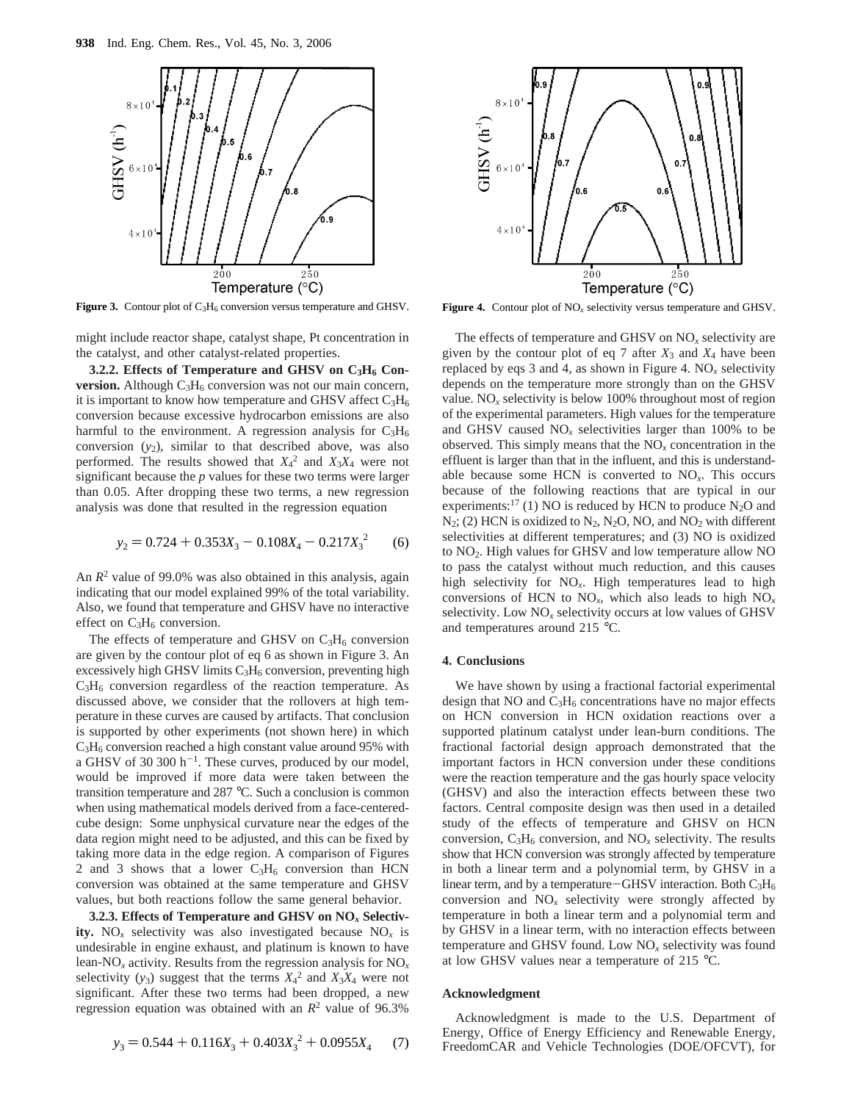

**Figure 3.** Contour plot of C<sub>3</sub>H<sub>6</sub> conversion versus temperature and GHSV. **Figure 4.** Contour plot of NO<sub>x</sub> selectivity versus temperature and GHSV.

might include reactor shape, catalyst shape, Pt concentration in the catalyst, and other catalyst-related properties.

3.2.2. Effects of Temperature and GHSV on C<sub>3</sub>H<sub>6</sub> Con**version.** Although  $C_3H_6$  conversion was not our main concern, it is important to know how temperature and GHSV affect  $C_3H_6$ conversion because excessive hydrocarbon emissions are also harmful to the environment. A regression analysis for  $C_3H_6$ conversion  $(y_2)$ , similar to that described above, was also performed. The results showed that  $X_4^2$  and  $X_3X_4$  were not significant because the *p* values for these two terms were larger than 0.05. After dropping these two terms, a new regression analysis was done that resulted in the regression equation

$$
y_2 = 0.724 + 0.353X_3 - 0.108X_4 - 0.217X_3^2
$$
 (6)

An  $R^2$  value of 99.0% was also obtained in this analysis, again indicating that our model explained 99% of the total variability. Also, we found that temperature and GHSV have no interactive effect on  $C_3H_6$  conversion.

The effects of temperature and GHSV on  $C_3H_6$  conversion are given by the contour plot of eq 6 as shown in Figure 3. An excessively high GHSV limits  $C_3H_6$  conversion, preventing high  $C_3H_6$  conversion regardless of the reaction temperature. As discussed above, we consider that the rollovers at high temperature in these curves are caused by artifacts. That conclusion is supported by other experiments (not shown here) in which  $C<sub>3</sub>H<sub>6</sub>$  conversion reached a high constant value around 95% with a GHSV of 30 300  $h^{-1}$ . These curves, produced by our model, would be improved if more data were taken between the transition temperature and 287 °C. Such a conclusion is common when using mathematical models derived from a face-centeredcube design: Some unphysical curvature near the edges of the data region might need to be adjusted, and this can be fixed by taking more data in the edge region. A comparison of Figures 2 and 3 shows that a lower  $C_3H_6$  conversion than HCN conversion was obtained at the same temperature and GHSV values, but both reactions follow the same general behavior.

**3.2.3. Effects of Temperature and GHSV on NO***<sup>x</sup>* **Selectivity.** NO<sub>x</sub> selectivity was also investigated because  $NO<sub>x</sub>$  is undesirable in engine exhaust, and platinum is known to have lean-NO*<sup>x</sup>* activity. Results from the regression analysis for NO*<sup>x</sup>* selectivity  $(y_3)$  suggest that the terms  $X_4^2$  and  $X_3X_4$  were not significant. After these two terms had been dropped, a new regression equation was obtained with an  $R^2$  value of 96.3%

$$
y_3 = 0.544 + 0.116X_3 + 0.403X_3^2 + 0.0955X_4 \tag{7}
$$



The effects of temperature and GHSV on NO*<sup>x</sup>* selectivity are given by the contour plot of eq 7 after  $X_3$  and  $X_4$  have been replaced by eqs 3 and 4, as shown in Figure 4.  $NO<sub>x</sub>$  selectivity depends on the temperature more strongly than on the GHSV value. NO<sub>x</sub> selectivity is below 100% throughout most of region of the experimental parameters. High values for the temperature and GHSV caused  $NO<sub>x</sub>$  selectivities larger than 100% to be observed. This simply means that the  $NO<sub>x</sub>$  concentration in the effluent is larger than that in the influent, and this is understandable because some HCN is converted to  $NO<sub>x</sub>$ . This occurs because of the following reactions that are typical in our experiments:<sup>17</sup> (1) NO is reduced by HCN to produce  $N_2O$  and  $N_2$ ; (2) HCN is oxidized to  $N_2$ ,  $N_2O$ , NO, and  $NO_2$  with different selectivities at different temperatures; and (3) NO is oxidized to NO2. High values for GHSV and low temperature allow NO to pass the catalyst without much reduction, and this causes high selectivity for NO*x*. High temperatures lead to high conversions of HCN to NO*x*, which also leads to high NO*<sup>x</sup>* selectivity. Low NO*<sup>x</sup>* selectivity occurs at low values of GHSV and temperatures around 215 °C.

#### **4. Conclusions**

We have shown by using a fractional factorial experimental design that  $NO$  and  $C_3H_6$  concentrations have no major effects on HCN conversion in HCN oxidation reactions over a supported platinum catalyst under lean-burn conditions. The fractional factorial design approach demonstrated that the important factors in HCN conversion under these conditions were the reaction temperature and the gas hourly space velocity (GHSV) and also the interaction effects between these two factors. Central composite design was then used in a detailed study of the effects of temperature and GHSV on HCN conversion,  $C_3H_6$  conversion, and  $NO<sub>x</sub>$  selectivity. The results show that HCN conversion was strongly affected by temperature in both a linear term and a polynomial term, by GHSV in a linear term, and by a temperature-GHSV interaction. Both  $C_3H_6$ conversion and NO*<sup>x</sup>* selectivity were strongly affected by temperature in both a linear term and a polynomial term and by GHSV in a linear term, with no interaction effects between temperature and GHSV found. Low NO*<sup>x</sup>* selectivity was found at low GHSV values near a temperature of 215 °C.

#### **Acknowledgment**

Acknowledgment is made to the U.S. Department of Energy, Office of Energy Efficiency and Renewable Energy, FreedomCAR and Vehicle Technologies (DOE/OFCVT), for